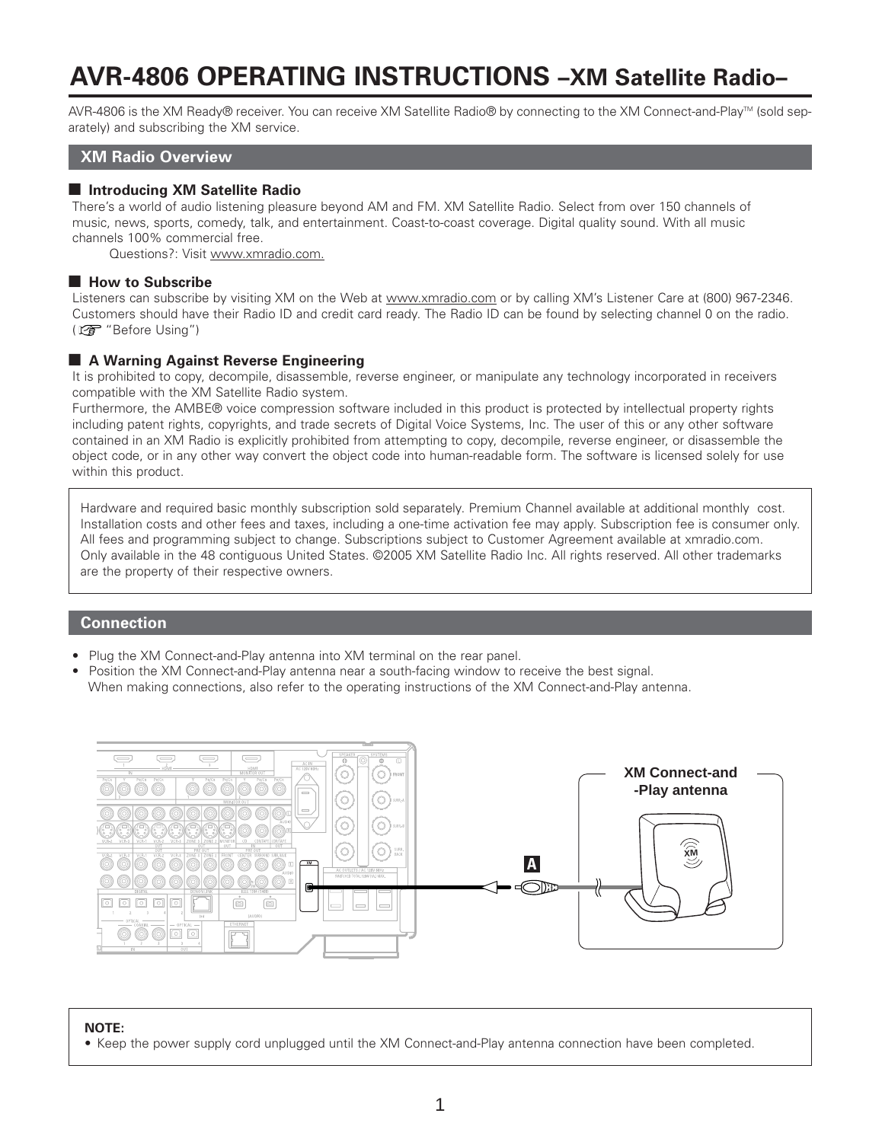# **AVR-4806 OPERATING INSTRUCTIONS –XM Satellite Radio–**

AVR-4806 is the XM Ready® receiver. You can receive XM Satellite Radio® by connecting to the XM Connect-and-Play™ (sold separately) and subscribing the XM service.

#### **XM Radio Overview**

#### $\blacksquare$  **Introducing XM Satellite Radio**

There's a world of audio listening pleasure beyond AM and FM. XM Satellite Radio. Select from over 150 channels of music, news, sports, comedy, talk, and entertainment. Coast-to-coast coverage. Digital quality sound. With all music channels 100% commercial free.

Questions?: Visit www.xmradio.com.

#### ■ How to Subscribe

Listeners can subscribe by visiting XM on the Web at www.xmradio.com or by calling XM's Listener Care at (800) 967-2346. Customers should have their Radio ID and credit card ready. The Radio ID can be found by selecting channel 0 on the radio. ( $\mathbb{C}\mathbb{F}$  "Before Using")

# $\blacksquare$  **A Warning Against Reverse Engineering**

It is prohibited to copy, decompile, disassemble, reverse engineer, or manipulate any technology incorporated in receivers compatible with the XM Satellite Radio system.

Furthermore, the AMBE® voice compression software included in this product is protected by intellectual property rights including patent rights, copyrights, and trade secrets of Digital Voice Systems, Inc. The user of this or any other software contained in an XM Radio is explicitly prohibited from attempting to copy, decompile, reverse engineer, or disassemble the object code, or in any other way convert the object code into human-readable form. The software is licensed solely for use within this product.

Hardware and required basic monthly subscription sold separately. Premium Channel available at additional monthly cost. Installation costs and other fees and taxes, including a one-time activation fee may apply. Subscription fee is consumer only. All fees and programming subject to change. Subscriptions subject to Customer Agreement available at xmradio.com. Only available in the 48 contiguous United States. ©2005 XM Satellite Radio Inc. All rights reserved. All other trademarks are the property of their respective owners.

#### **Connection**

- Plug the XM Connect-and-Play antenna into XM terminal on the rear panel.
- Position the XM Connect-and-Play antenna near a south-facing window to receive the best signal. When making connections, also refer to the operating instructions of the XM Connect-and-Play antenna.



#### **NOTE:**

• Keep the power supply cord unplugged until the XM Connect-and-Play antenna connection have been completed.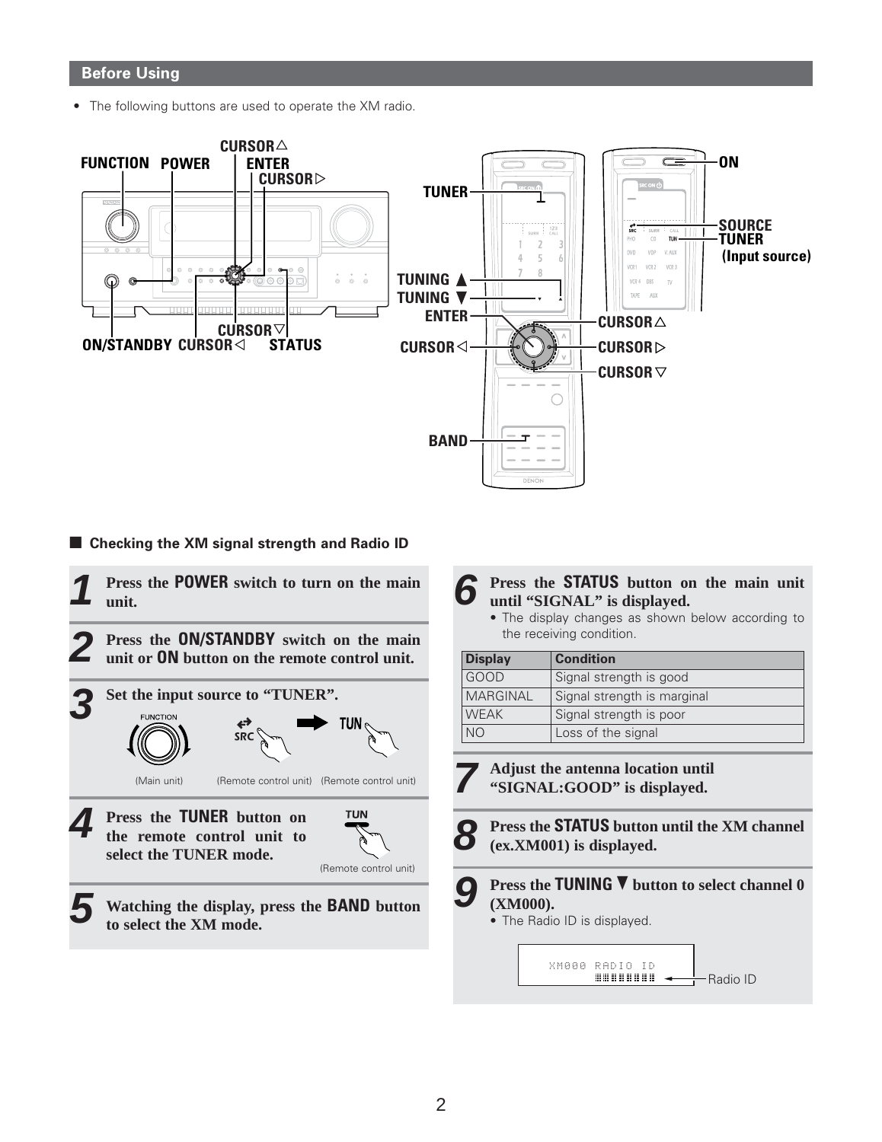# **Before Using**

• The following buttons are used to operate the XM radio.



# ■ Checking the **XM** signal strength and Radio ID

**1 Press the POWER switch to turn on the main unit.**

**2 Press the ON/STANDBY switch on the main unit or ON button on the remote control unit.**





**5 Watching the display, press the BAND button to select the XM mode.**

#### **6 Press the STATUS button on the main unit until "SIGNAL" is displayed.**

• The display changes as shown below according to the receiving condition.

| <b>Display</b>  | <b>Condition</b>            |  |  |
|-----------------|-----------------------------|--|--|
| GOOD            | Signal strength is good     |  |  |
| <b>MARGINAL</b> | Signal strength is marginal |  |  |
| <b>WEAK</b>     | Signal strength is poor     |  |  |
| NO <sub>1</sub> | Loss of the signal          |  |  |

**Adjust the antenna location until "SIGNAL:GOOD" is displayed.**

**8**

**7**

**Press the STATUS button until the XM channel (ex.XM001) is displayed.**

**9 Press the TUNING** <sup>ª</sup> **button to select channel 0 (XM000).**

Radio ID

• The Radio ID is displayed.

XM000 RADIO ID

,,,,,,,,,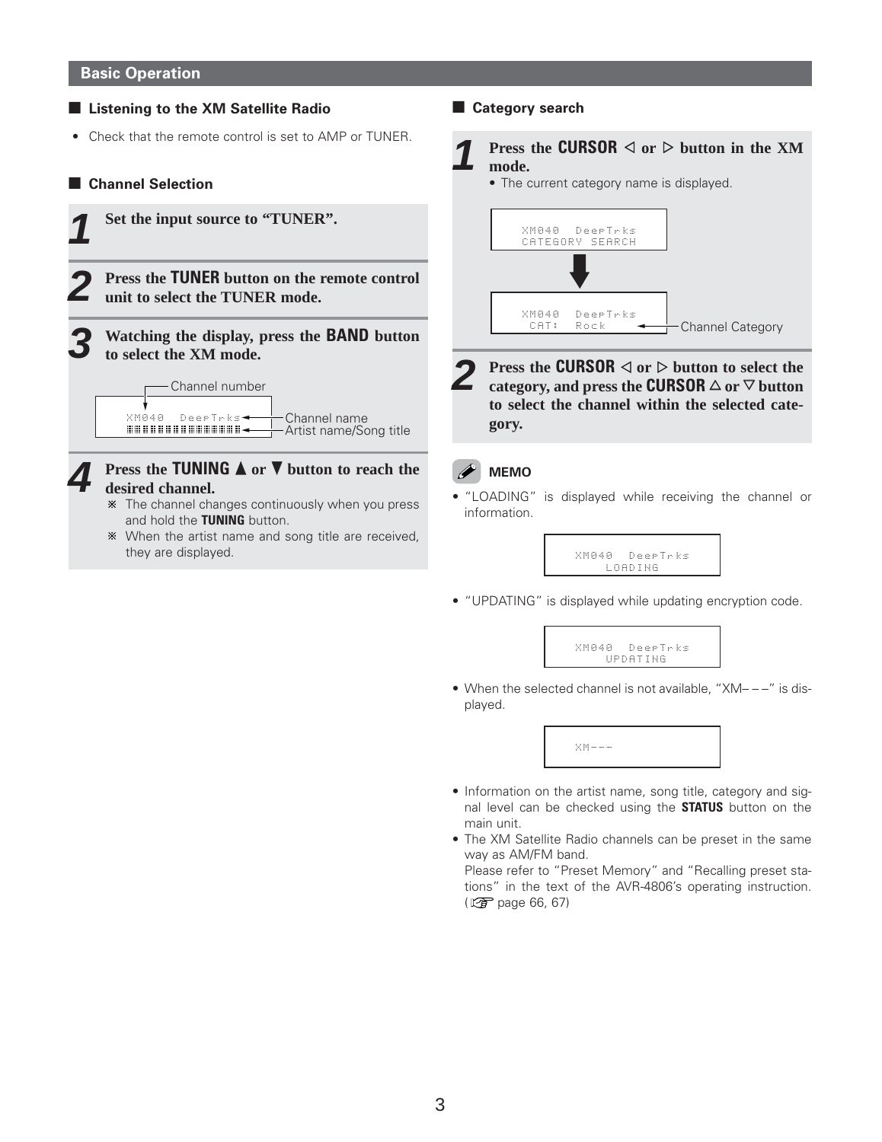#### **Basic Operation**

# 2 **Listening to the XM Satellite Radio**

• Check that the remote control is set to AMP or TUNER.

# 2 **Channel Selection**



#### **4 Press the TUNING**  $\triangle$  or  $\nabla$  button to reach the **desired channel.**

- The channel changes continuously when you press and hold the **TUNING** button.
- When the artist name and song title are received, they are displayed.

**E** Category search



• The current category name is displayed.



**2 Press the CURSOR**  $\lhd$  or  $\rhd$  button to select the category, and press the **CURSOR**  $\triangle$  or  $\heartsuit$  button **to select the channel within the selected category.**

# **MEMO**

• "LOADING" is displayed while receiving the channel or information.

> LOADING XM040 DeepTrks

• "UPDATING" is displayed while updating encryption code.



• When the selected channel is not available, "XM– – –" is displayed.



- Information on the artist name, song title, category and signal level can be checked using the **STATUS** button on the main unit.
- The XM Satellite Radio channels can be preset in the same way as AM/FM band.

Please refer to "Preset Memory" and "Recalling preset stations" in the text of the AVR-4806's operating instruction. ( $\sqrt{2}$  page 66, 67)